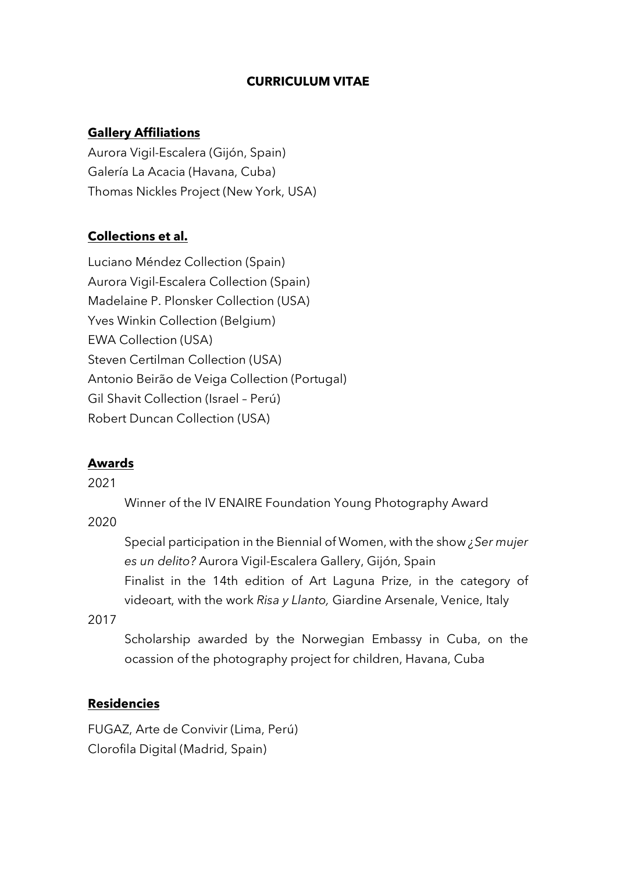## **CURRICULUM VITAE**

### **Gallery Affiliations**

Aurora Vigil-Escalera (Gijón, Spain) Galería La Acacia (Havana, Cuba) Thomas Nickles Project (New York, USA)

## **Collections et al.**

Luciano Méndez Collection (Spain) Aurora Vigil-Escalera Collection (Spain) Madelaine P. Plonsker Collection (USA) Yves Winkin Collection (Belgium) EWA Collection (USA) Steven Certilman Collection (USA) Antonio Beirão de Veiga Collection (Portugal) Gil Shavit Collection (Israel – Perú) Robert Duncan Collection (USA)

### **Awards**

2021

Winner of the IV ENAIRE Foundation Young Photography Award

2020

Special participation in the Biennial of Women, with the show *¿Ser mujer es un delito?* Aurora Vigil-Escalera Gallery, Gijón, Spain Finalist in the 14th edition of Art Laguna Prize, in the category of videoart, with the work *Risa y Llanto,* Giardine Arsenale, Venice, Italy

2017

Scholarship awarded by the Norwegian Embassy in Cuba, on the ocassion of the photography project for children, Havana, Cuba

### **Residencies**

FUGAZ, Arte de Convivir (Lima, Perú) Clorofila Digital (Madrid, Spain)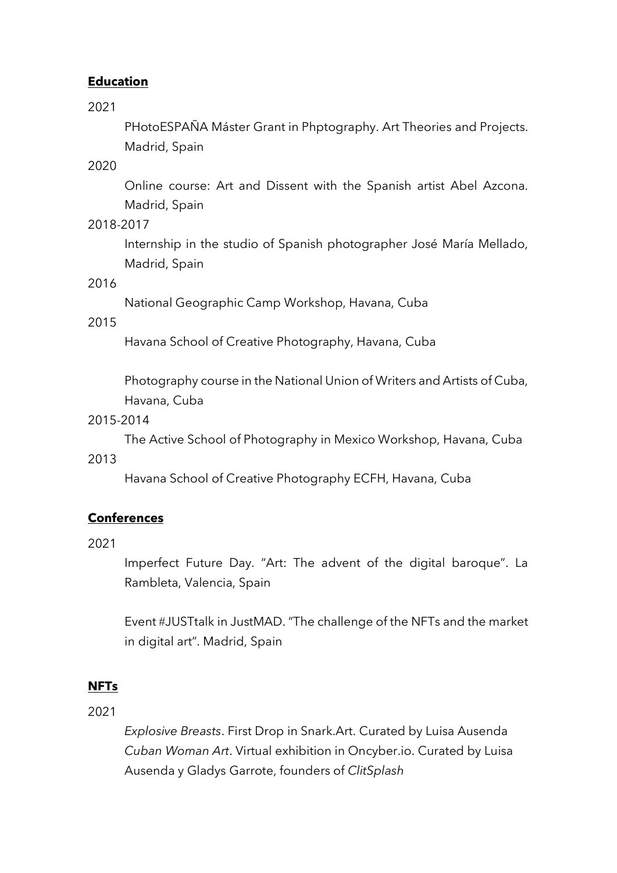## **Education**

2021

PHotoESPAÑA Máster Grant in Phptography. Art Theories and Projects. Madrid, Spain

2020

Online course: Art and Dissent with the Spanish artist Abel Azcona. Madrid, Spain

2018-2017

Internship in the studio of Spanish photographer José María Mellado, Madrid, Spain

### 2016

National Geographic Camp Workshop, Havana, Cuba

2015

Havana School of Creative Photography, Havana, Cuba

Photography course in the National Union of Writers and Artists of Cuba, Havana, Cuba

#### 2015-2014

The Active School of Photography in Mexico Workshop, Havana, Cuba

#### 2013

Havana School of Creative Photography ECFH, Havana, Cuba

# **Conferences**

2021

Imperfect Future Day. "Art: The advent of the digital baroque". La Rambleta, Valencia, Spain

Event #JUSTtalk in JustMAD. "The challenge of the NFTs and the market in digital art". Madrid, Spain

### **NFTs**

2021

*Explosive Breasts*. First Drop in Snark.Art. Curated by Luisa Ausenda *Cuban Woman Art*. Virtual exhibition in Oncyber.io. Curated by Luisa Ausenda y Gladys Garrote, founders of *ClitSplash*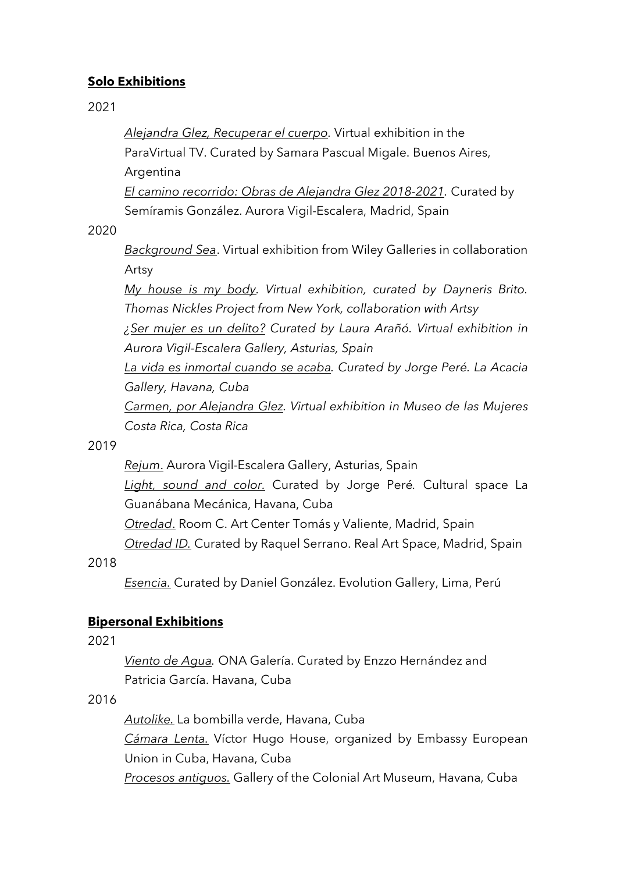# **Solo Exhibitions**

2021

*Alejandra Glez, Recuperar el cuerpo.* Virtual exhibition in the ParaVirtual TV. Curated by Samara Pascual Migale. Buenos Aires, Argentina

*El camino recorrido: Obras de Alejandra Glez 2018-2021.* Curated by Semíramis González. Aurora Vigil-Escalera, Madrid, Spain

2020

*Background Sea*. Virtual exhibition from Wiley Galleries in collaboration Artsy

*My house is my body. Virtual exhibition, curated by Dayneris Brito. Thomas Nickles Project from New York, collaboration with Artsy*

*¿Ser mujer es un delito? Curated by Laura Arañó. Virtual exhibition in Aurora Vigil-Escalera Gallery, Asturias, Spain*

*La vida es inmortal cuando se acaba. Curated by Jorge Peré. La Acacia Gallery, Havana, Cuba*

*Carmen, por Alejandra Glez. Virtual exhibition in Museo de las Mujeres Costa Rica, Costa Rica*

2019

*Rejum*. Aurora Vigil-Escalera Gallery, Asturias, Spain

*Light, sound and color.* Curated by Jorge Peré*.* Cultural space La Guanábana Mecánica, Havana, Cuba

*Otredad*. Room C. Art Center Tomás y Valiente, Madrid, Spain

*Otredad ID.* Curated by Raquel Serrano. Real Art Space, Madrid, Spain

2018

*Esencia.* Curated by Daniel González. Evolution Gallery, Lima, Perú

# **Bipersonal Exhibitions**

2021

*Viento de Agua.* ONA Galería. Curated by Enzzo Hernández and Patricia García. Havana, Cuba

# 2016

*Autolike.* La bombilla verde, Havana, Cuba *Cámara Lenta.* Víctor Hugo House, organized by Embassy European Union in Cuba, Havana, Cuba *Procesos antiguos.* Gallery of the Colonial Art Museum, Havana, Cuba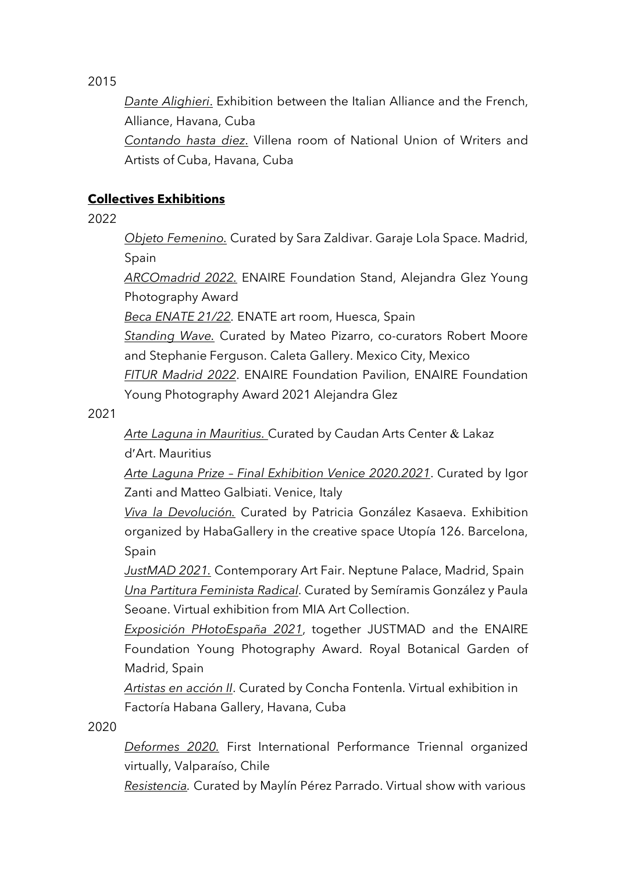2015

*Dante Alighieri*. Exhibition between the Italian Alliance and the French, Alliance, Havana, Cuba

*Contando hasta diez*. Villena room of National Union of Writers and Artists of Cuba, Havana, Cuba

# **Collectives Exhibitions**

2022

*Objeto Femenino.* Curated by Sara Zaldivar. Garaje Lola Space. Madrid, Spain

*ARCOmadrid 2022.* ENAIRE Foundation Stand, Alejandra Glez Young Photography Award

*Beca ENATE 21/22.* ENATE art room, Huesca, Spain

*Standing Wave.* Curated by Mateo Pizarro, co-curators Robert Moore and Stephanie Ferguson. Caleta Gallery. Mexico City, Mexico *FITUR Madrid 2022*. ENAIRE Foundation Pavilion, ENAIRE Foundation Young Photography Award 2021 Alejandra Glez

2021

*Arte Laguna in Mauritius.* Curated by Caudan Arts Center & Lakaz d¢Art. Mauritius

*Arte Laguna Prize – Final Exhibition Venice 2020.2021*. Curated by Igor Zanti and Matteo Galbiati. Venice, Italy

*Viva la Devolución.* Curated by Patricia González Kasaeva. Exhibition organized by HabaGallery in the creative space Utopía 126. Barcelona, Spain

*JustMAD 2021.* Contemporary Art Fair. Neptune Palace, Madrid, Spain *Una Partitura Feminista Radical*. Curated by Semíramis González y Paula Seoane. Virtual exhibition from MIA Art Collection.

*Exposición PHotoEspaña 2021*, together JUSTMAD and the ENAIRE Foundation Young Photography Award. Royal Botanical Garden of Madrid, Spain

*Artistas en acción II*. Curated by Concha Fontenla. Virtual exhibition in Factoría Habana Gallery, Havana, Cuba

2020

*Deformes 2020.* First International Performance Triennal organized virtually, Valparaíso, Chile

*Resistencia.* Curated by Maylín Pérez Parrado. Virtual show with various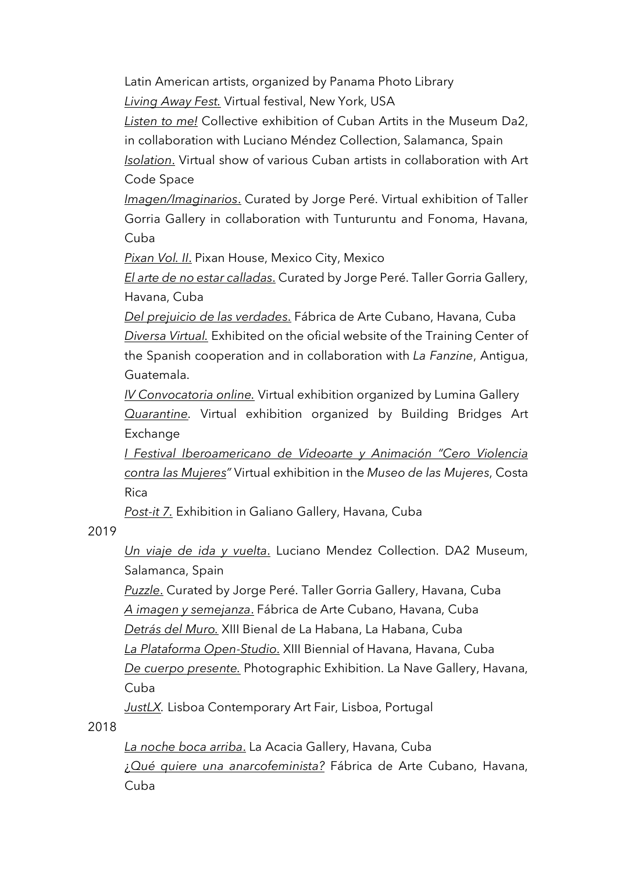Latin American artists, organized by Panama Photo Library *Living Away Fest.* Virtual festival, New York, USA

*Listen to me!* Collective exhibition of Cuban Artits in the Museum Da2, in collaboration with Luciano Méndez Collection, Salamanca, Spain

*Isolation*. Virtual show of various Cuban artists in collaboration with Art Code Space

*Imagen/Imaginarios*. Curated by Jorge Peré. Virtual exhibition of Taller Gorria Gallery in collaboration with Tunturuntu and Fonoma, Havana, Cuba

*Pixan Vol. II*. Pixan House, Mexico City, Mexico

*El arte de no estar calladas*. Curated by Jorge Peré. Taller Gorria Gallery, Havana, Cuba

*Del prejuicio de las verdades*. Fábrica de Arte Cubano, Havana, Cuba *Diversa Virtual.* Exhibited on the oficial website of the Training Center of the Spanish cooperation and in collaboration with *La Fanzine*, Antigua, Guatemala.

*IV Convocatoria online.* Virtual exhibition organized by Lumina Gallery *Quarantine.* Virtual exhibition organized by Building Bridges Art Exchange

*I Festival Iberoamericano de Videoarte y Animación "Cero Violencia contra las Mujeres"* Virtual exhibition in the *Museo de las Mujeres*, Costa Rica

*Post-it 7.* Exhibition in Galiano Gallery, Havana, Cuba

2019

*Un viaje de ida y vuelta*. Luciano Mendez Collection. DA2 Museum, Salamanca, Spain

*Puzzle*. Curated by Jorge Peré. Taller Gorria Gallery, Havana, Cuba *A imagen y semejanza*. Fábrica de Arte Cubano, Havana, Cuba *Detrás del Muro.* XIII Bienal de La Habana, La Habana, Cuba *La Plataforma Open-Studio*. XIII Biennial of Havana, Havana, Cuba *De cuerpo presente.* Photographic Exhibition. La Nave Gallery, Havana, Cuba

*JustLX.* Lisboa Contemporary Art Fair, Lisboa, Portugal

2018

*La noche boca arriba*. La Acacia Gallery, Havana, Cuba ¿*Qué quiere una anarcofeminista?* Fábrica de Arte Cubano, Havana, Cuba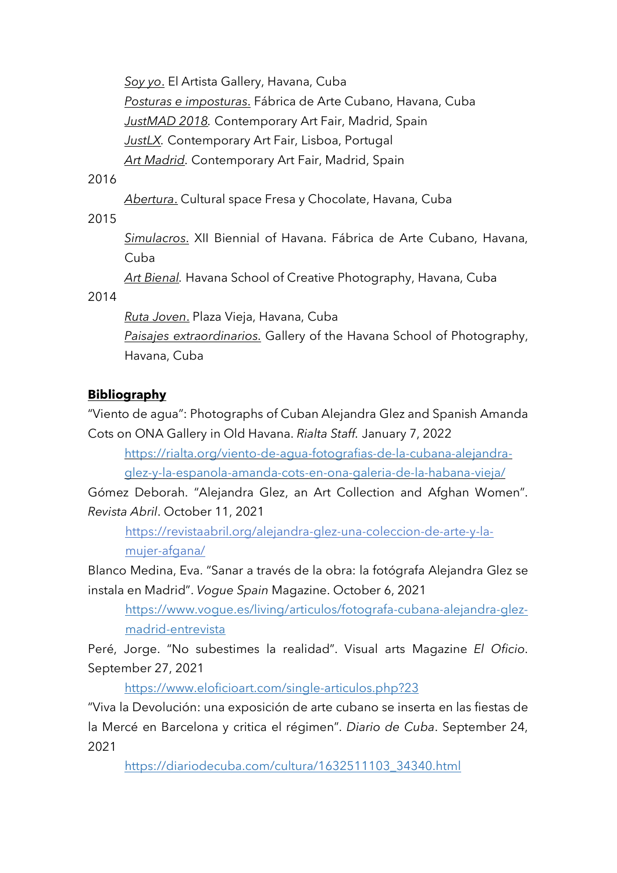*Soy yo*. El Artista Gallery, Havana, Cuba *Posturas e imposturas*. Fábrica de Arte Cubano, Havana, Cuba *JustMAD 2018.* Contemporary Art Fair, Madrid, Spain *JustLX.* Contemporary Art Fair, Lisboa, Portugal *Art Madrid.* Contemporary Art Fair, Madrid, Spain

### 2016

*Abertura*. Cultural space Fresa y Chocolate, Havana, Cuba

2015

*Simulacros*. XII Biennial of Havana. Fábrica de Arte Cubano, Havana, Cuba

*Art Bienal.* Havana School of Creative Photography, Havana, Cuba

2014

*Ruta Joven*. Plaza Vieja, Havana, Cuba

*Paisajes extraordinarios*. Gallery of the Havana School of Photography, Havana, Cuba

# **Bibliography**

"Viento de agua": Photographs of Cuban Alejandra Glez and Spanish Amanda Cots on ONA Gallery in Old Havana. *Rialta Staff.* January 7, 2022

https://rialta.org/viento-de-agua-fotografias-de-la-cubana-alejandraglez-y-la-espanola-amanda-cots-en-ona-galeria-de-la-habana-vieja/

Gómez Deborah. "Alejandra Glez, an Art Collection and Afghan Women". *Revista Abril*. October 11, 2021

https://revistaabril.org/alejandra-glez-una-coleccion-de-arte-y-lamujer-afgana/

Blanco Medina, Eva. "Sanar a través de la obra: la fotógrafa Alejandra Glez se instala en Madrid". *Vogue Spain* Magazine. October 6, 2021

https://www.vogue.es/living/articulos/fotografa-cubana-alejandra-glezmadrid-entrevista

Peré, Jorge. "No subestimes la realidad". Visual arts Magazine *El Oficio*. September 27, 2021

https://www.eloficioart.com/single-articulos.php?23

"Viva la Devolución: una exposición de arte cubano se inserta en las fiestas de la Mercé en Barcelona y critica el régimen". *Diario de Cuba*. September 24, 2021

https://diariodecuba.com/cultura/1632511103\_34340.html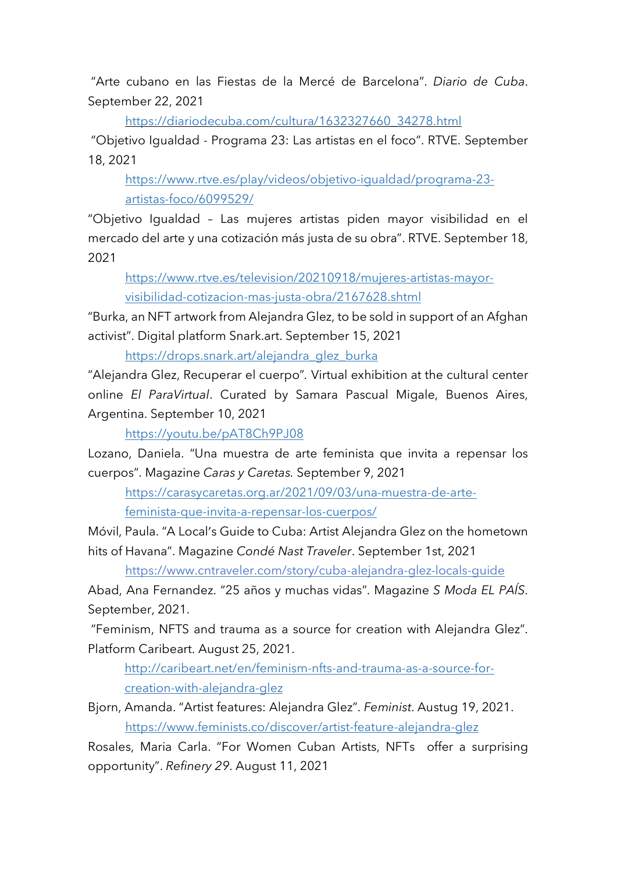"Arte cubano en las Fiestas de la Mercé de Barcelona". *Diario de Cuba*. September 22, 2021

https://diariodecuba.com/cultura/1632327660\_34278.html

"Objetivo Igualdad - Programa 23: Las artistas en el foco". RTVE. September 18, 2021

https://www.rtve.es/play/videos/objetivo-igualdad/programa-23 artistas-foco/6099529/

"Objetivo Igualdad – Las mujeres artistas piden mayor visibilidad en el mercado del arte y una cotización más justa de su obra". RTVE. September 18, 2021

https://www.rtve.es/television/20210918/mujeres-artistas-mayorvisibilidad-cotizacion-mas-justa-obra/2167628.shtml

"Burka, an NFT artwork from Alejandra Glez, to be sold in support of an Afghan activist". Digital platform Snark.art. September 15, 2021

https://drops.snark.art/alejandra\_glez\_burka

"Alejandra Glez, Recuperar el cuerpo"*.* Virtual exhibition at the cultural center online *El ParaVirtual*. Curated by Samara Pascual Migale, Buenos Aires, Argentina. September 10, 2021

https://youtu.be/pAT8Ch9PJ08

Lozano, Daniela. "Una muestra de arte feminista que invita a repensar los cuerpos". Magazine *Caras y Caretas.* September 9, 2021

https://carasycaretas.org.ar/2021/09/03/una-muestra-de-artefeminista-que-invita-a-repensar-los-cuerpos/

Móvil, Paula. "A Local's Guide to Cuba: Artist Alejandra Glez on the hometown hits of Havana". Magazine *Condé Nast Traveler*. September 1st, 2021

https://www.cntraveler.com/story/cuba-alejandra-glez-locals-guide

Abad, Ana Fernandez. "25 años y muchas vidas". Magazine *S Moda EL PAÍS*. September, 2021.

"Feminism, NFTS and trauma as a source for creation with Alejandra Glez". Platform Caribeart. August 25, 2021.

http://caribeart.net/en/feminism-nfts-and-trauma-as-a-source-forcreation-with-alejandra-glez

Bjorn, Amanda. "Artist features: Alejandra Glez". *Feminist*. Austug 19, 2021. https://www.feminists.co/discover/artist-feature-alejandra-glez

Rosales, Maria Carla. "For Women Cuban Artists, NFTs offer a surprising opportunity". *Refinery 29*. August 11, 2021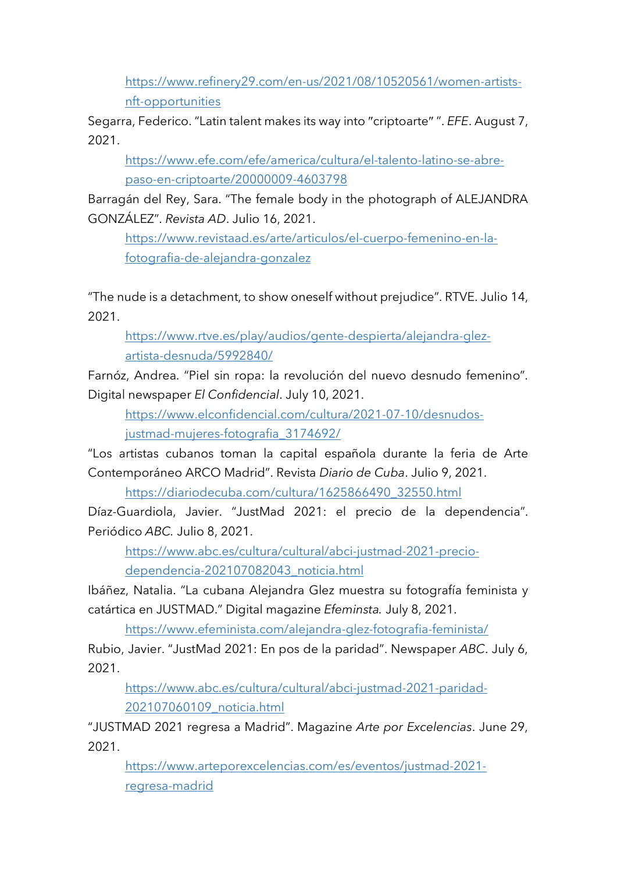https://www.refinery29.com/en-us/2021/08/10520561/women-artistsnft-opportunities

Segarra, Federico. "Latin talent makes its way into "criptoarte" ". *EFE*. August 7, 2021.

https://www.efe.com/efe/america/cultura/el-talento-latino-se-abrepaso-en-criptoarte/20000009-4603798

Barragán del Rey, Sara. "The female body in the photograph of ALEJANDRA GONZÁLEZ". *Revista AD*. Julio 16, 2021.

https://www.revistaad.es/arte/articulos/el-cuerpo-femenino-en-lafotografia-de-alejandra-gonzalez

"The nude is a detachment, to show oneself without prejudice". RTVE. Julio 14, 2021.

https://www.rtve.es/play/audios/gente-despierta/alejandra-glezartista-desnuda/5992840/

Farnóz, Andrea. "Piel sin ropa: la revolución del nuevo desnudo femenino". Digital newspaper *El Confidencial*. July 10, 2021.

https://www.elconfidencial.com/cultura/2021-07-10/desnudosjustmad-mujeres-fotografia\_3174692/

"Los artistas cubanos toman la capital española durante la feria de Arte Contemporáneo ARCO Madrid". Revista *Diario de Cuba*. Julio 9, 2021.

https://diariodecuba.com/cultura/1625866490\_32550.html

Díaz-Guardiola, Javier. "JustMad 2021: el precio de la dependencia". Periódico *ABC.* Julio 8, 2021.

https://www.abc.es/cultura/cultural/abci-justmad-2021-preciodependencia-202107082043\_noticia.html

Ibáñez, Natalia. "La cubana Alejandra Glez muestra su fotografía feminista y catártica en JUSTMAD." Digital magazine *Efeminsta.* July 8, 2021.

https://www.efeminista.com/alejandra-glez-fotografia-feminista/

Rubio, Javier. "JustMad 2021: En pos de la paridad". Newspaper *ABC*. July 6, 2021.

https://www.abc.es/cultura/cultural/abci-justmad-2021-paridad-202107060109\_noticia.html

"JUSTMAD 2021 regresa a Madrid". Magazine *Arte por Excelencias*. June 29, 2021.

https://www.arteporexcelencias.com/es/eventos/justmad-2021 regresa-madrid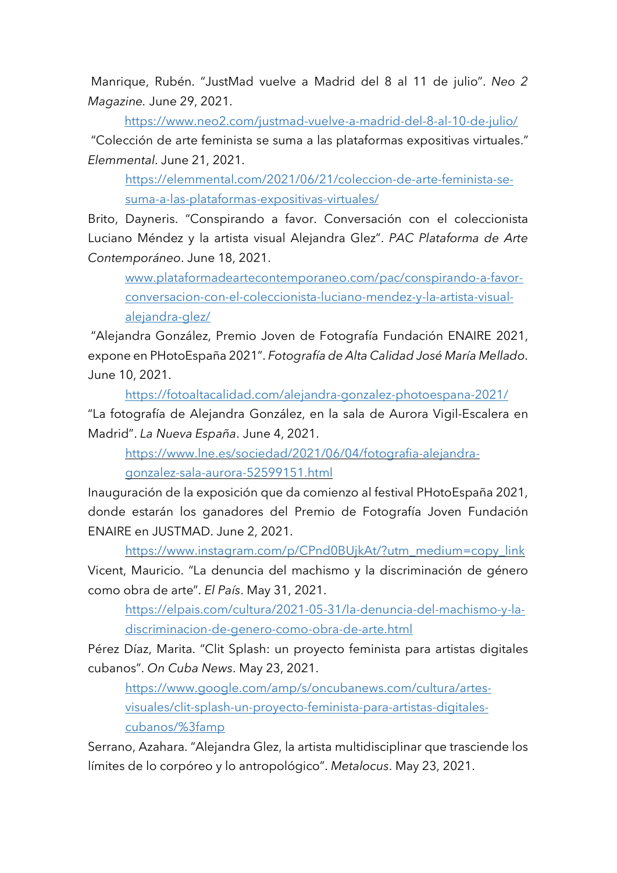Manrique, Rubén. "JustMad vuelve a Madrid del 8 al 11 de julio". *Neo 2 Magazine.* June 29, 2021.

https://www.neo2.com/justmad-vuelve-a-madrid-del-8-al-10-de-julio/ "Colección de arte feminista se suma a las plataformas expositivas virtuales." *Elemmental*. June 21, 2021.

https://elemmental.com/2021/06/21/coleccion-de-arte-feminista-sesuma-a-las-plataformas-expositivas-virtuales/

Brito, Dayneris. "Conspirando a favor. Conversación con el coleccionista Luciano Méndez y la artista visual Alejandra Glez". *PAC Plataforma de Arte Contemporáneo*. June 18, 2021.

www.plataformadeartecontemporaneo.com/pac/conspirando-a-favorconversacion-con-el-coleccionista-luciano-mendez-y-la-artista-visualalejandra-glez/

"Alejandra González, Premio Joven de Fotografía Fundación ENAIRE 2021, expone en PHotoEspaña 2021". *Fotografía de Alta Calidad José María Mellado*. June 10, 2021.

https://fotoaltacalidad.com/alejandra-gonzalez-photoespana-2021/ "La fotografía de Alejandra González, en la sala de Aurora Vigil-Escalera en Madrid". *La Nueva España*. June 4, 2021.

https://www.lne.es/sociedad/2021/06/04/fotografia-alejandragonzalez-sala-aurora-52599151.html

Inauguración de la exposición que da comienzo al festival PHotoEspaña 2021, donde estarán los ganadores del Premio de Fotografía Joven Fundación ENAIRE en JUSTMAD. June 2, 2021.

https://www.instagram.com/p/CPnd0BUjkAt/?utm\_medium=copy\_link

Vicent, Mauricio. "La denuncia del machismo y la discriminación de género como obra de arte". *El País*. May 31, 2021.

https://elpais.com/cultura/2021-05-31/la-denuncia-del-machismo-y-ladiscriminacion-de-genero-como-obra-de-arte.html

Pérez Díaz, Marita. "Clit Splash: un proyecto feminista para artistas digitales cubanos". *On Cuba News*. May 23, 2021.

https://www.google.com/amp/s/oncubanews.com/cultura/artesvisuales/clit-splash-un-proyecto-feminista-para-artistas-digitalescubanos/%3famp

Serrano, Azahara. "Alejandra Glez, la artista multidisciplinar que trasciende los límites de lo corpóreo y lo antropológico". *Metalocus*. May 23, 2021.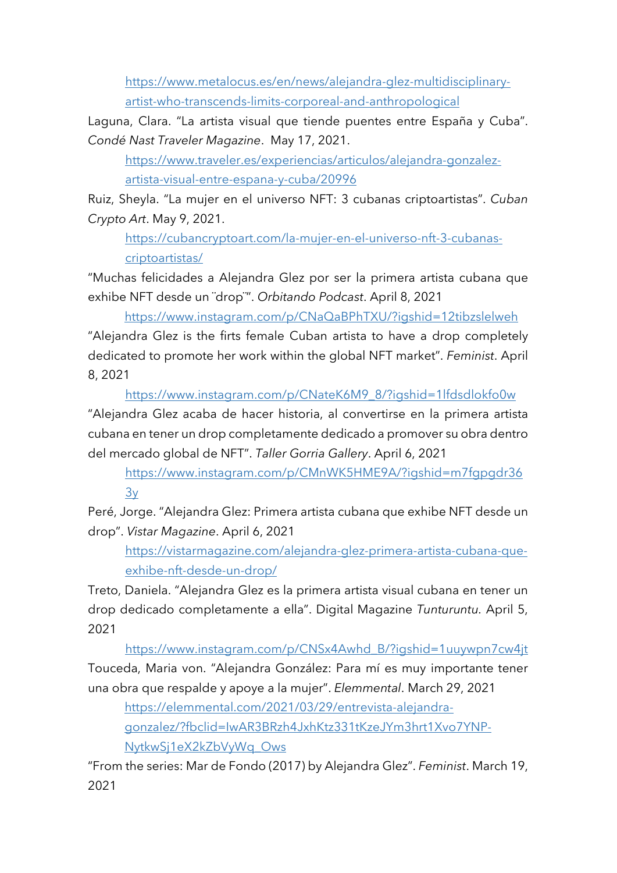https://www.metalocus.es/en/news/alejandra-glez-multidisciplinaryartist-who-transcends-limits-corporeal-and-anthropological

Laguna, Clara. "La artista visual que tiende puentes entre España y Cuba". *Condé Nast Traveler Magazine*. May 17, 2021.

https://www.traveler.es/experiencias/articulos/alejandra-gonzalezartista-visual-entre-espana-y-cuba/20996

Ruiz, Sheyla. "La mujer en el universo NFT: 3 cubanas criptoartistas". *Cuban Crypto Art*. May 9, 2021.

https://cubancryptoart.com/la-mujer-en-el-universo-nft-3-cubanascriptoartistas/

"Muchas felicidades a Alejandra Glez por ser la primera artista cubana que exhibe NFT desde un ¨drop¨". *Orbitando Podcast*. April 8, 2021

https://www.instagram.com/p/CNaQaBPhTXU/?igshid=12tibzslelweh

"Alejandra Glez is the firts female Cuban artista to have a drop completely dedicated to promote her work within the global NFT market". *Feminist*. April 8, 2021

https://www.instagram.com/p/CNateK6M9\_8/?igshid=1lfdsdlokfo0w "Alejandra Glez acaba de hacer historia, al convertirse en la primera artista cubana en tener un drop completamente dedicado a promover su obra dentro del mercado global de NFT". *Taller Gorria Gallery*. April 6, 2021

https://www.instagram.com/p/CMnWK5HME9A/?igshid=m7fgpgdr36 3y

Peré, Jorge. "Alejandra Glez: Primera artista cubana que exhibe NFT desde un drop". *Vistar Magazine*. April 6, 2021

https://vistarmagazine.com/alejandra-glez-primera-artista-cubana-queexhibe-nft-desde-un-drop/

Treto, Daniela. "Alejandra Glez es la primera artista visual cubana en tener un drop dedicado completamente a ella". Digital Magazine *Tunturuntu.* April 5, 2021

https://www.instagram.com/p/CNSx4Awhd\_B/?igshid=1uuywpn7cw4jt Touceda, Maria von. "Alejandra González: Para mí es muy importante tener una obra que respalde y apoye a la mujer". *Elemmental*. March 29, 2021

https://elemmental.com/2021/03/29/entrevista-alejandragonzalez/?fbclid=IwAR3BRzh4JxhKtz331tKzeJYm3hrt1Xvo7YNP-NytkwSj1eX2kZbVyWq\_Ows

"From the series: Mar de Fondo (2017) by Alejandra Glez". *Feminist*. March 19, 2021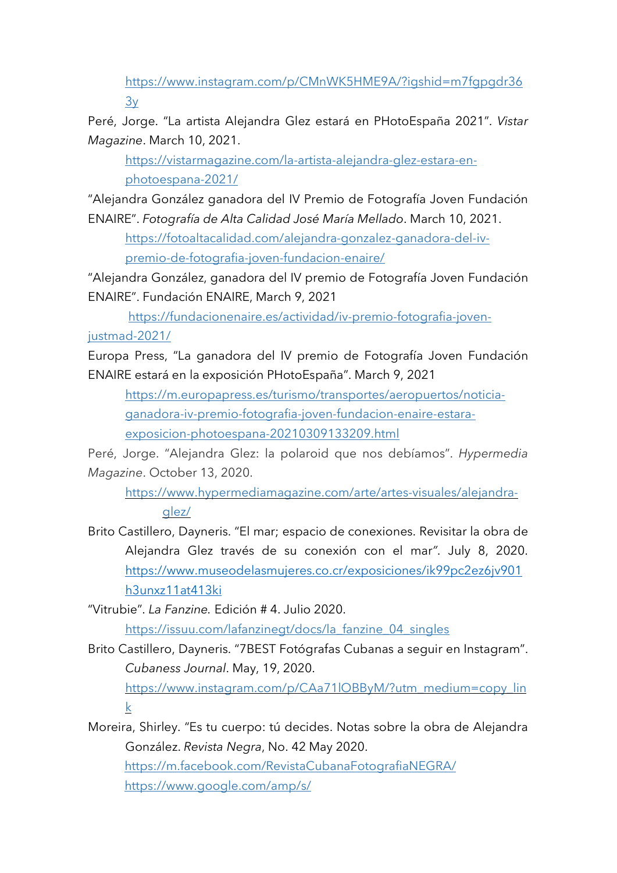https://www.instagram.com/p/CMnWK5HME9A/?igshid=m7fgpgdr36  $3y$ 

Peré, Jorge. "La artista Alejandra Glez estará en PHotoEspaña 2021". *Vistar Magazine*. March 10, 2021.

https://vistarmagazine.com/la-artista-alejandra-glez-estara-enphotoespana-2021/

"Alejandra González ganadora del IV Premio de Fotografía Joven Fundación ENAIRE". *Fotografía de Alta Calidad José María Mellado*. March 10, 2021.

https://fotoaltacalidad.com/alejandra-gonzalez-ganadora-del-ivpremio-de-fotografia-joven-fundacion-enaire/

"Alejandra González, ganadora del IV premio de Fotografía Joven Fundación ENAIRE". Fundación ENAIRE, March 9, 2021

 https://fundacionenaire.es/actividad/iv-premio-fotografia-jovenjustmad-2021/

Europa Press, "La ganadora del IV premio de Fotografía Joven Fundación ENAIRE estará en la exposición PHotoEspaña". March 9, 2021

https://m.europapress.es/turismo/transportes/aeropuertos/noticiaganadora-iv-premio-fotografia-joven-fundacion-enaire-estaraexposicion-photoespana-20210309133209.html

Peré, Jorge. "Alejandra Glez: la polaroid que nos debíamos". *Hypermedia Magazine*. October 13, 2020.

https://www.hypermediamagazine.com/arte/artes-visuales/alejandraglez/

Brito Castillero, Dayneris. "El mar; espacio de conexiones. Revisitar la obra de Alejandra Glez través de su conexión con el mar*"*. July 8, 2020. https://www.museodelasmujeres.co.cr/exposiciones/ik99pc2ez6jv901 h3unxz11at413ki

"Vitrubie". *La Fanzine.* Edición # 4. Julio 2020. https://issuu.com/lafanzinegt/docs/la\_fanzine\_04\_singles

Brito Castillero, Dayneris. "7BEST Fotógrafas Cubanas a seguir en Instagram". *Cubaness Journal*. May, 19, 2020.

https://www.instagram.com/p/CAa71lOBByM/?utm\_medium=copy\_lin k

Moreira, Shirley. "Es tu cuerpo: tú decides. Notas sobre la obra de Alejandra González. *Revista Negra*, No. 42 May 2020. https://m.facebook.com/RevistaCubanaFotografiaNEGRA/ https://www.google.com/amp/s/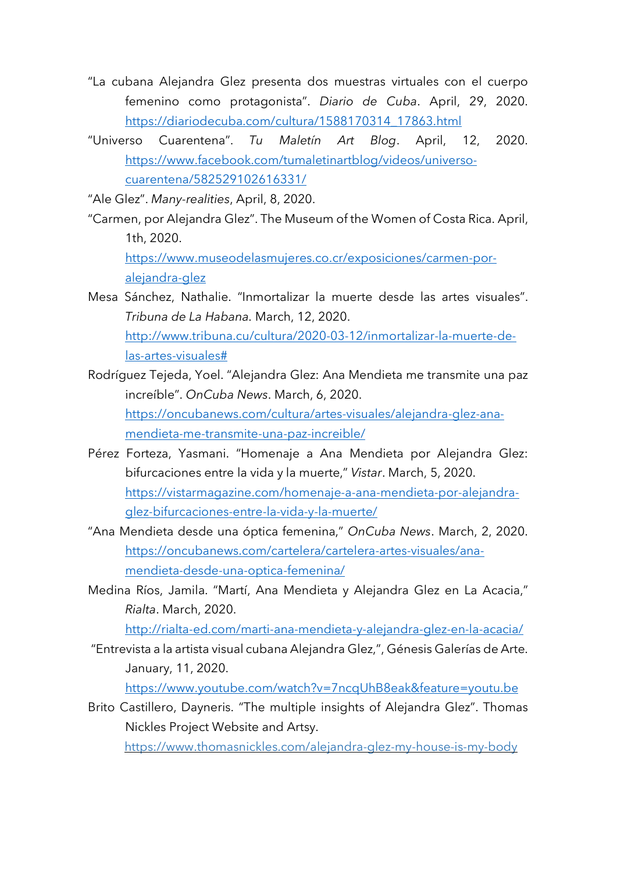- "La cubana Alejandra Glez presenta dos muestras virtuales con el cuerpo femenino como protagonista". *Diario de Cuba*. April, 29, 2020. https://diariodecuba.com/cultura/1588170314\_17863.html
- "Universo Cuarentena". *Tu Maletín Art Blog*. April, 12, 2020. https://www.facebook.com/tumaletinartblog/videos/universocuarentena/582529102616331/

"Ale Glez". *Many-realities*, April, 8, 2020.

"Carmen, por Alejandra Glez". The Museum of the Women of Costa Rica. April, 1th, 2020.

https://www.museodelasmujeres.co.cr/exposiciones/carmen-poralejandra-glez

- Mesa Sánchez, Nathalie. "Inmortalizar la muerte desde las artes visuales". *Tribuna de La Habana.* March, 12, 2020. http://www.tribuna.cu/cultura/2020-03-12/inmortalizar-la-muerte-delas-artes-visuales#
- Rodríguez Tejeda, Yoel. "Alejandra Glez: Ana Mendieta me transmite una paz increíble". *OnCuba News*. March, 6, 2020. https://oncubanews.com/cultura/artes-visuales/alejandra-glez-anamendieta-me-transmite-una-paz-increible/
- Pérez Forteza, Yasmani. "Homenaje a Ana Mendieta por Alejandra Glez: bifurcaciones entre la vida y la muerte," *Vistar*. March, 5, 2020. https://vistarmagazine.com/homenaje-a-ana-mendieta-por-alejandraglez-bifurcaciones-entre-la-vida-y-la-muerte/
- "Ana Mendieta desde una óptica femenina," *OnCuba News*. March, 2, 2020. https://oncubanews.com/cartelera/cartelera-artes-visuales/anamendieta-desde-una-optica-femenina/
- Medina Ríos, Jamila. "Martí, Ana Mendieta y Alejandra Glez en La Acacia," *Rialta*. March, 2020.

http://rialta-ed.com/marti-ana-mendieta-y-alejandra-glez-en-la-acacia/

"Entrevista a la artista visual cubana Alejandra Glez,", Génesis Galerías de Arte. January, 11, 2020.

https://www.youtube.com/watch?v=7ncqUhB8eak&feature=youtu.be

Brito Castillero, Dayneris. "The multiple insights of Alejandra Glez". Thomas Nickles Project Website and Artsy.

https://www.thomasnickles.com/alejandra-glez-my-house-is-my-body